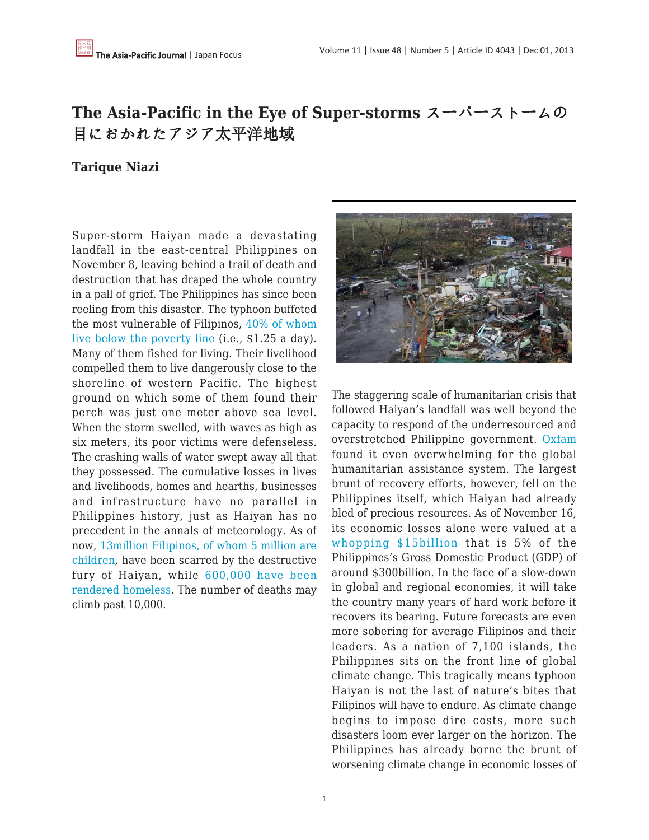# **The Asia-Pacific in the Eye of Super-storms** スーパーストームの 目におかれたアジア太平洋地域

## **Tarique Niazi**

Super-storm Haiyan made a devastating landfall in the east-central Philippines on November 8, leaving behind a trail of death and destruction that has draped the whole country in a pall of grief. The Philippines has since been reeling from this disaster. The typhoon buffeted the most vulnerable of Filipinos, [40% of whom](http://onpoint.wbur.org/2013/11/13/typhoon-haiyan-philippines-climate-change) [live below the poverty line](http://onpoint.wbur.org/2013/11/13/typhoon-haiyan-philippines-climate-change) (i.e., \$1.25 a day). Many of them fished for living. Their livelihood compelled them to live dangerously close to the shoreline of western Pacific. The highest ground on which some of them found their perch was just one meter above sea level. When the storm swelled, with waves as high as six meters, its poor victims were defenseless. The crashing walls of water swept away all that they possessed. The cumulative losses in lives and livelihoods, homes and hearths, businesses and infrastructure have no parallel in Philippines history, just as Haiyan has no precedent in the annals of meteorology. As of now[, 13million Filipinos, of whom 5 million are](http://www.wfla.com/story/23991224/typhoon-haiyan-a-crisis-by-the-numbers) [children,](http://www.wfla.com/story/23991224/typhoon-haiyan-a-crisis-by-the-numbers) have been scarred by the destructive fury of Haiyan, while [600,000 have been](http://www.economist.com/news/asia/21589916-one-strongest-storms-ever-recorded-has-devastated-parts-philippines-and-relief) [rendered homeless](http://www.economist.com/news/asia/21589916-one-strongest-storms-ever-recorded-has-devastated-parts-philippines-and-relief). The number of deaths may climb past 10,000.



The staggering scale of humanitarian crisis that followed Haiyan's landfall was well beyond the capacity to respond of the underresourced and overstretched Philippine government. [Oxfam](http://onpoint.wbur.org/2013/11/13/typhoon-haiyan-philippines-climate-change) found it even overwhelming for the global humanitarian assistance system. The largest brunt of recovery efforts, however, fell on the Philippines itself, which Haiyan had already bled of precious resources. As of November 16, its economic losses alone were valued at a [whopping \\$15billion](http://rt.com/business/phillipines-hurricane-economic-losses-581/) that is 5% of the Philippines's Gross Domestic Product (GDP) of around \$300billion. In the face of a slow-down in global and regional economies, it will take the country many years of hard work before it recovers its bearing. Future forecasts are even more sobering for average Filipinos and their leaders. As a nation of 7,100 islands, the Philippines sits on the front line of global climate change. This tragically means typhoon Haiyan is not the last of nature's bites that Filipinos will have to endure. As climate change begins to impose dire costs, more such disasters loom ever larger on the horizon. The Philippines has already borne the brunt of worsening climate change in economic losses of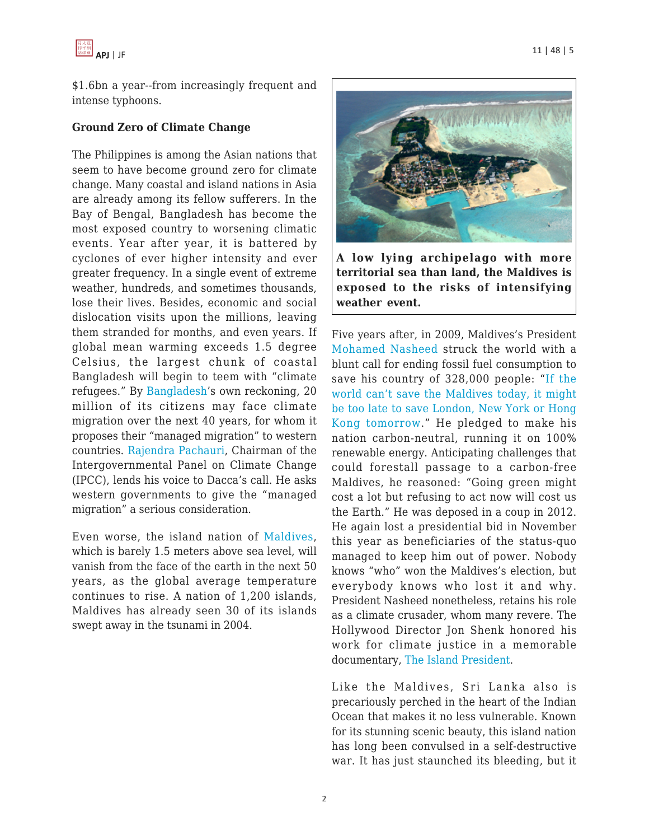

\$1.6bn a year--from increasingly frequent and intense typhoons.

#### **Ground Zero of Climate Change**

The Philippines is among the Asian nations that seem to have become ground zero for climate change. Many coastal and island nations in Asia are already among its fellow sufferers. In the Bay of Bengal, Bangladesh has become the most exposed country to worsening climatic events. Year after year, it is battered by cyclones of ever higher intensity and ever greater frequency. In a single event of extreme weather, hundreds, and sometimes thousands, lose their lives. Besides, economic and social dislocation visits upon the millions, leaving them stranded for months, and even years. If global mean warming exceeds 1.5 degree Celsius, the largest chunk of coastal Bangladesh will begin to teem with "climate refugees." By [Bangladesh'](http://www.theguardian.com/environment/2009/nov/30/rich-west-climate-change)s own reckoning, 20 million of its citizens may face climate migration over the next 40 years, for whom it proposes their "managed migration" to western countries. [Rajendra Pachauri](http://www.theguardian.com/environment/2009/nov/30/rich-west-climate-change), Chairman of the Intergovernmental Panel on Climate Change (IPCC), lends his voice to Dacca's call. He asks western governments to give the "managed migration" a serious consideration.

Even worse, the island nation of [Maldives,](http://www.theguardian.com/environment/2009/mar/15/carbon-emissions-climate-change?guni=Article:in%20body%20link) which is barely 1.5 meters above sea level, will vanish from the face of the earth in the next 50 years, as the global average temperature continues to rise. A nation of 1,200 islands, Maldives has already seen 30 of its islands swept away in the tsunami in 2004.



**A low lying archipelago with more territorial sea than land, the Maldives is exposed to the risks of intensifying weather event.**

Five years after, in 2009, Maldives's President [Mohamed Nasheed](http://www.theguardian.com/environment/2009/mar/15/carbon-emissions-climate-change?guni=Article:in%20body%20link) struck the world with a blunt call for ending fossil fuel consumption to save his country of 328,000 people: "[If the](http://www.theguardian.com/environment/2009/mar/15/carbon-emissions-climate-change?guni=Article:in%20body%20link) [world can't save the Maldives today, it might](http://www.theguardian.com/environment/2009/mar/15/carbon-emissions-climate-change?guni=Article:in%20body%20link) [be too late to save London, New York or Hong](http://www.theguardian.com/environment/2009/mar/15/carbon-emissions-climate-change?guni=Article:in%20body%20link) [Kong tomorrow](http://www.theguardian.com/environment/2009/mar/15/carbon-emissions-climate-change?guni=Article:in%20body%20link)." He pledged to make his nation carbon-neutral, running it on 100% renewable energy. Anticipating challenges that could forestall passage to a carbon-free Maldives, he reasoned: "Going green might cost a lot but refusing to act now will cost us the Earth." He was deposed in a coup in 2012. He again lost a presidential bid in November this year as beneficiaries of the status-quo managed to keep him out of power. Nobody knows "who" won the Maldives's election, but everybody knows who lost it and why. President Nasheed nonetheless, retains his role as a climate crusader, whom many revere. The Hollywood Director Jon Shenk honored his work for climate justice in a memorable documentary, [The Island President](http://theislandpresident.com/).

Like the Maldives, Sri Lanka also is precariously perched in the heart of the Indian Ocean that makes it no less vulnerable. Known for its stunning scenic beauty, this island nation has long been convulsed in a self-destructive war. It has just staunched its bleeding, but it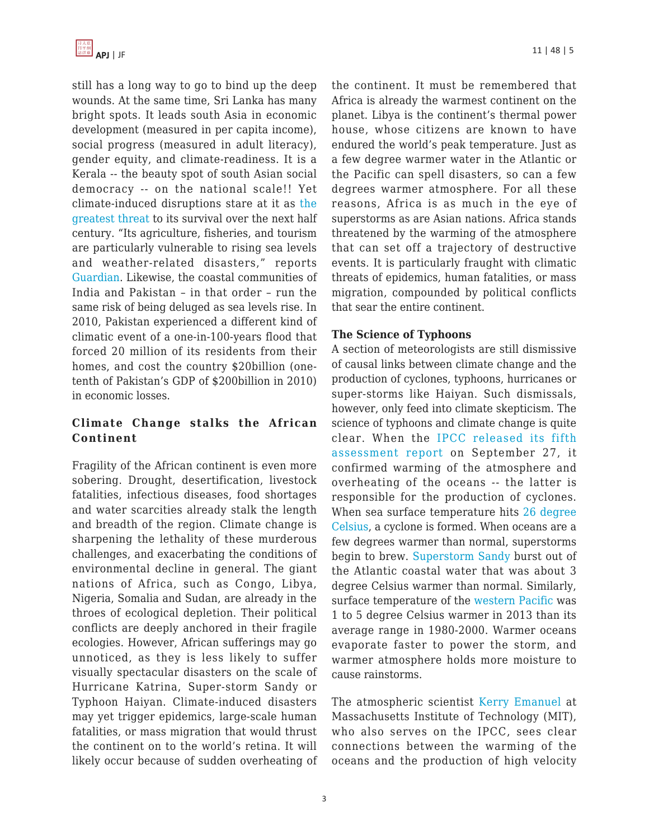still has a long way to go to bind up the deep wounds. At the same time, Sri Lanka has many bright spots. It leads south Asia in economic development (measured in per capita income), social progress (measured in adult literacy), gender equity, and climate-readiness. It is a Kerala -- the beauty spot of south Asian social democracy -- on the national scale!! Yet climate-induced disruptions stare at it as [the](http://www.theguardian.com/world/2013/nov/13/climate-change-sri-lanka) [greatest threat](http://www.theguardian.com/world/2013/nov/13/climate-change-sri-lanka) to its survival over the next half century. "Its agriculture, fisheries, and tourism are particularly vulnerable to rising sea levels and weather-related disasters," reports [Guardian.](http://www.theguardian.com/world/2013/nov/13/climate-change-sri-lanka) Likewise, the coastal communities of India and Pakistan – in that order – run the same risk of being deluged as sea levels rise. In 2010, Pakistan experienced a different kind of climatic event of a one-in-100-years flood that forced 20 million of its residents from their homes, and cost the country \$20billion (onetenth of Pakistan's GDP of \$200billion in 2010) in economic losses.

# **Climate Change stalks the African Continent**

Fragility of the African continent is even more sobering. Drought, desertification, livestock fatalities, infectious diseases, food shortages and water scarcities already stalk the length and breadth of the region. Climate change is sharpening the lethality of these murderous challenges, and exacerbating the conditions of environmental decline in general. The giant nations of Africa, such as Congo, Libya, Nigeria, Somalia and Sudan, are already in the throes of ecological depletion. Their political conflicts are deeply anchored in their fragile ecologies. However, African sufferings may go unnoticed, as they is less likely to suffer visually spectacular disasters on the scale of Hurricane Katrina, Super-storm Sandy or Typhoon Haiyan. Climate-induced disasters may yet trigger epidemics, large-scale human fatalities, or mass migration that would thrust the continent on to the world's retina. It will likely occur because of sudden overheating of the continent. It must be remembered that Africa is already the warmest continent on the planet. Libya is the continent's thermal power house, whose citizens are known to have endured the world's peak temperature. Just as a few degree warmer water in the Atlantic or the Pacific can spell disasters, so can a few degrees warmer atmosphere. For all these reasons, Africa is as much in the eye of superstorms as are Asian nations. Africa stands threatened by the warming of the atmosphere that can set off a trajectory of destructive events. It is particularly fraught with climatic threats of epidemics, human fatalities, or mass migration, compounded by political conflicts that sear the entire continent.

### **The Science of Typhoons**

A section of meteorologists are still dismissive of causal links between climate change and the production of cyclones, typhoons, hurricanes or super-storms like Haiyan. Such dismissals, however, only feed into climate skepticism. The science of typhoons and climate change is quite clear. When the [IPCC released its fifth](http://www.ipcc.ch/report/ar5/wg1/#.UorpfWbnZlY) [assessment report](http://www.ipcc.ch/report/ar5/wg1/#.UorpfWbnZlY) on September 27, it confirmed warming of the atmosphere and overheating of the oceans -- the latter is responsible for the production of cyclones. When sea surface temperature hits [26 degree](http://theenergycollective.com/users/jim-baird) [Celsius,](http://theenergycollective.com/users/jim-baird) a cyclone is formed. When oceans are a few degrees warmer than normal, superstorms begin to brew. [Superstorm Sandy](http://theenergycollective.com/jim-baird/303591/wanted-climate-bounty) burst out of the Atlantic coastal water that was about 3 degree Celsius warmer than normal. Similarly, surface temperature of the [western Pacific](http://theenergycollective.com/jim-baird/303591/wanted-climate-bounty) was 1 to 5 degree Celsius warmer in 2013 than its average range in 1980-2000. Warmer oceans evaporate faster to power the storm, and warmer atmosphere holds more moisture to cause rainstorms.

The atmospheric scientis[t Kerry Emanuel](http://onpoint.wbur.org/2013/11/13/typhoon-haiyan-philippines-climate-change) at Massachusetts Institute of Technology (MIT), who also serves on the IPCC, sees clear connections between the warming of the oceans and the production of high velocity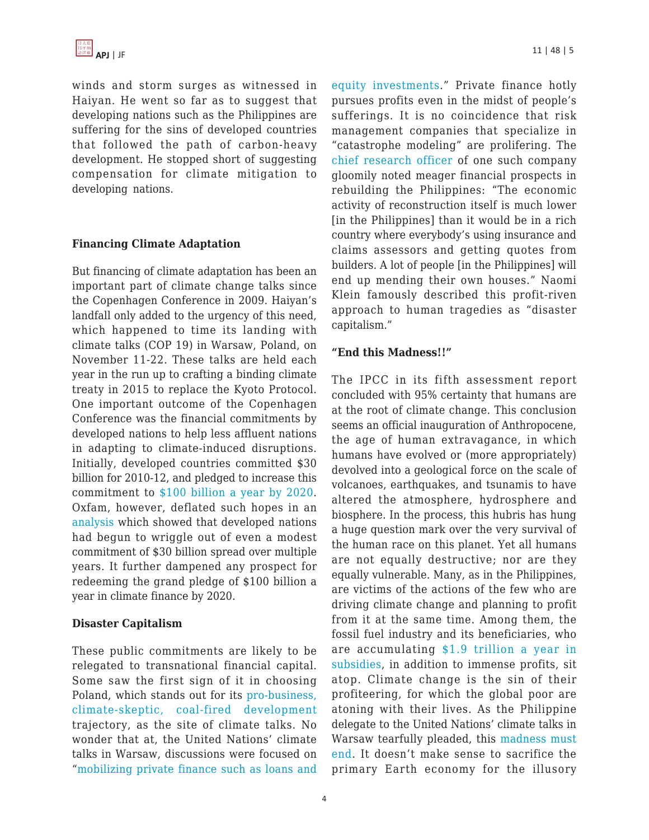winds and storm surges as witnessed in Haiyan. He went so far as to suggest that developing nations such as the Philippines are suffering for the sins of developed countries that followed the path of carbon-heavy development. He stopped short of suggesting compensation for climate mitigation to developing nations.

### **Financing Climate Adaptation**

But financing of climate adaptation has been an important part of climate change talks since the Copenhagen Conference in 2009. Haiyan's landfall only added to the urgency of this need, which happened to time its landing with climate talks (COP 19) in Warsaw, Poland, on November 11-22. These talks are held each year in the run up to crafting a binding climate treaty in 2015 to replace the Kyoto Protocol. One important outcome of the Copenhagen Conference was the financial commitments by developed nations to help less affluent nations in adapting to climate-induced disruptions. Initially, developed countries committed \$30 billion for 2010-12, and pledged to increase this commitment to [\\$100 billion a year by 2020.](http://www.theecologist.org/News/news_analysis/2158539/cop19_poor_countries_in_the_dark_on_climate_finance.html) Oxfam, however, deflated such hopes in an [analysis](http://www.theecologist.org/News/news_analysis/2158539/cop19_poor_countries_in_the_dark_on_climate_finance.html) which showed that developed nations had begun to wriggle out of even a modest commitment of \$30 billion spread over multiple years. It further dampened any prospect for redeeming the grand pledge of \$100 billion a year in climate finance by 2020.

#### **Disaster Capitalism**

These public commitments are likely to be relegated to transnational financial capital. Some saw the first sign of it in choosing Poland, which stands out for its [pro-business,](http://www.theecologist.org/News/news_analysis/2158539/cop19_poor_countries_in_the_dark_on_climate_finance.html) [climate-skeptic, coal-fired development](http://www.theecologist.org/News/news_analysis/2158539/cop19_poor_countries_in_the_dark_on_climate_finance.html) trajectory, as the site of climate talks. No wonder that at, the United Nations' climate talks in Warsaw, discussions were focused on "[mobilizing private finance such as loans and](http://www.theecologist.org/News/news_analysis/2158539/cop19_poor_countries_in_the_dark_on_climate_finance.html)

[equity investments](http://www.theecologist.org/News/news_analysis/2158539/cop19_poor_countries_in_the_dark_on_climate_finance.html)." Private finance hotly pursues profits even in the midst of people's sufferings. It is no coincidence that risk management companies that specialize in "catastrophe modeling" are prolifering. The [chief research officer](http://rt.com/business/phillipines-hurricane-economic-losses-581/) of one such company gloomily noted meager financial prospects in rebuilding the Philippines: "The economic activity of reconstruction itself is much lower [in the Philippines] than it would be in a rich country where everybody's using insurance and claims assessors and getting quotes from builders. A lot of people [in the Philippines] will end up mending their own houses." Naomi Klein famously described this profit-riven approach to human tragedies as "disaster capitalism."

### **"End this Madness!!"**

The IPCC in its fifth assessment report concluded with 95% certainty that humans are at the root of climate change. This conclusion seems an official inauguration of Anthropocene, the age of human extravagance, in which humans have evolved or (more appropriately) devolved into a geological force on the scale of volcanoes, earthquakes, and tsunamis to have altered the atmosphere, hydrosphere and biosphere. In the process, this hubris has hung a huge question mark over the very survival of the human race on this planet. Yet all humans are not equally destructive; nor are they equally vulnerable. Many, as in the Philippines, are victims of the actions of the few who are driving climate change and planning to profit from it at the same time. Among them, the fossil fuel industry and its beneficiaries, who are accumulating [\\$1.9 trillion a year in](http://www.imf.org/external/np/sec/pr/2013/pr1393.htm) [subsidies,](http://www.imf.org/external/np/sec/pr/2013/pr1393.htm) in addition to immense profits, sit atop. Climate change is the sin of their profiteering, for which the global poor are atoning with their lives. As the Philippine delegate to the United Nations' climate talks in Warsaw tearfully pleaded, this [madness must](http://www.telegraph.co.uk/news/worldnews/asia/philippines/10443293/Typhoon-Haiyan-Philippines-climate-change-commissioner-breaks-down-at-UN-talks.html) [end](http://www.telegraph.co.uk/news/worldnews/asia/philippines/10443293/Typhoon-Haiyan-Philippines-climate-change-commissioner-breaks-down-at-UN-talks.html). It doesn't make sense to sacrifice the primary Earth economy for the illusory